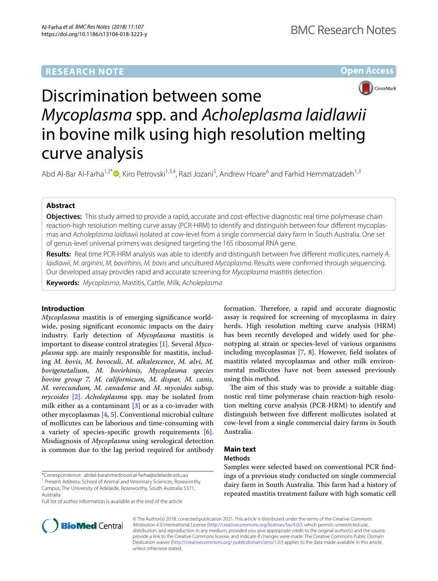# **RESEARCH NOTE**

**Open Access**



# Discrimination between some *Mycoplasma* spp. and *Acholeplasma laidlawii* in bovine milk using high resolution melting curve analysis

Abd Al-Bar Al-Farha<sup>1[,](http://orcid.org/0000-0003-1742-6350)2\*</sup> <sup>(1</sup>, Kiro Petrovski<sup>1,3,4</sup>, Razi Jozani<sup>5</sup>, Andrew Hoare<sup>6</sup> and Farhid Hemmatzadeh<sup>1,3</sup>

# **Abstract**

**Objectives:** This study aimed to provide a rapid, accurate and cost-efective diagnostic real time polymerase chain reaction-high resolution melting curve assay (PCR-HRM) to identify and distinguish between four different mycoplasmas and *Acholeplasma laidlawii* isolated at cow-level from a single commercial dairy farm in South Australia. One set of genus-level universal primers was designed targeting the 16S ribosomal RNA gene.

**Results:** Real time PCR-HRM analysis was able to identify and distinguish between fve diferent mollicutes, namely *A. laidlawii*, *M. arginini*, *M. bovirhinis*, *M. bovis* and uncultured *Mycoplasma*. Results were confrmed through sequencing. Our developed assay provides rapid and accurate screening for *Mycoplasma* mastitis detection.

**Keywords:** *Mycoplasma*, Mastitis, Cattle, Milk, *Acholeplasma*

## **Introduction**

*Mycoplasma* mastitis is of emerging signifcance worldwide, posing signifcant economic impacts on the dairy industry. Early detection of *Mycoplasma* mastitis is important to disease control strategies [\[1](#page-2-0)]. Several *Mycoplasma* spp. are mainly responsible for mastitis, including *M. bovis*, *M. bovoculi*, *M. alkalescence*, *M. alvi*, *M. bovigenetalium*, *M. bovirhinis*, *Mycoplasma species bovine group 7, M. californicum, M. dispar, M. canis, M. verecundum, M. canadense* and *M. mycoides* subsp. *mycoides* [\[2](#page-2-1)]. *Acholeplasma* spp. may be isolated from milk either as a contaminant [[3\]](#page-2-2) or as a co-invader with other mycoplasmas [\[4](#page-2-3), [5](#page-2-4)]. Conventional microbial culture of mollicutes can be laborious and time-consuming with a variety of species-specifc growth requirements [\[6](#page-2-5)]. Misdiagnosis of *Mycoplasma* using serological detection is common due to the lag period required for antibody

\*Correspondence: abdal‑barahmednoori.al‑farha@adelaide.edu.au <sup>1</sup> Present Address: School of Animal and Veterinary Sciences, Roseworthy Campus, The University of Adelaide, Roseworthy, South Australia 5371,

Australia

Full list of author information is available at the end of the article



The aim of this study was to provide a suitable diagnostic real time polymerase chain reaction-high resolution melting curve analysis (PCR-HRM) to identify and distinguish between fve diferent mollicutes isolated at cow-level from a single commercial dairy farms in South Australia.

# **Main text**

## **Methods**

Samples were selected based on conventional PCR fndings of a previous study conducted on single commercial dairy farm in South Australia. This farm had a history of repeated mastitis treatment failure with high somatic cell



© The Author(s) 2018, corrected publication 2021. This article is distributed under the terms of the Creative Commons Attribution 4.0 International License ([http://creativecommons.org/licenses/by/4.0/\)](http://creativecommons.org/licenses/by/4.0/), which permits unrestricted use, distribution, and reproduction in any medium, provided you give appropriate credit to the original author(s) and the source, provide a link to the Creative Commons license, and indicate if changes were made. The Creative Commons Public Domain Dedication waiver ([http://creativecommons.org/ publicdomain/zero/1.0/\)](http://creativecommons.org/publicdomain/zero/1.0/) applies to the data made available in this article, unless otherwise stated.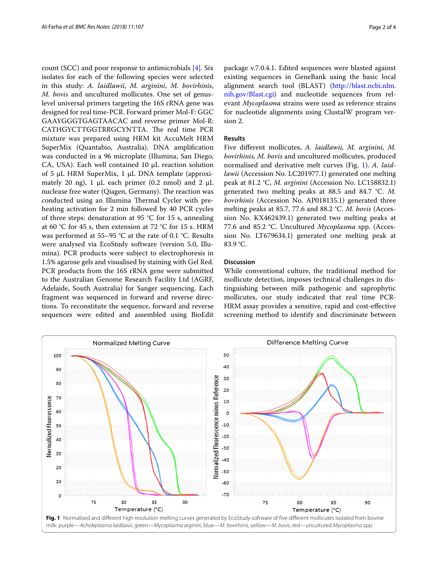count (SCC) and poor response to antimicrobials [[4\]](#page-2-3). Six isolates for each of the following species were selected in this study: *A. laidlawii*, *M. arginini*, *M. bovirhinis*, *M. bovis* and uncultured mollicutes. One set of genuslevel universal primers targeting the 16S rRNA gene was designed for real time-PCR. Forward primer Mol-F: GGC GAAYGGGTGAGTAACAC and reverse primer Mol-R: CATHGYCTTGGTRRGCYNTTA. The real time PCR mixture was prepared using HRM kit AccuMelt HRM SuperMix (Quantabio, Australia). DNA amplifcation was conducted in a 96 microplate (Illumina, San Diego, CA, USA). Each well contained 10  $\mu$ L reaction solution of 5  $\mu$ L HRM SuperMix, 1  $\mu$ L DNA template (approximately 20 ng), 1  $\mu$ L each primer (0.2 nmol) and 2  $\mu$ L nuclease free water (Qiagen, Germany). The reaction was conducted using an Illumina Thermal Cycler with preheating activation for 2 min followed by 40 PCR cycles of three steps: denaturation at 95 °C for 15 s, annealing at 60 °C for 45 s, then extension at 72 °C for 15 s. HRM was performed at 55–95 °C at the rate of 0.1 °C. Results were analysed via EcoStudy software (version 5.0, Illumina). PCR products were subject to electrophoresis in 1.5% agarose gels and visualised by staining with Gel Red. PCR products from the 16S rRNA gene were submitted to the Australian Genome Research Facility Ltd (AGRF, Adelaide, South Australia) for Sanger sequencing. Each fragment was sequenced in forward and reverse directions. To reconstitute the sequence, forward and reverse sequences were edited and assembled using BioEdit package v.7.0.4.1. Edited sequences were blasted against existing sequences in GeneBank using the basic local alignment search tool (BLAST) [\(http://blast.ncbi.nlm.](http://blast.ncbi.nlm.nih.gov/Blast.cgi) [nih.gov/Blast.cgi\)](http://blast.ncbi.nlm.nih.gov/Blast.cgi) and nucleotide sequences from relevant *Mycoplasma* strains were used as reference strains for nucleotide alignments using ClustalW program version 2.

### **Results**

Five diferent mollicutes, *A. laidlawii, M. arginini, M. bovirhinis, M. bovis* and uncultured mollicutes, produced normalised and derivative melt curves (Fig. [1\)](#page-1-0). *A. laidlawii* (Accession No. LC201977.1) generated one melting peak at 81.2 °C, *M. arginini* (Accession No. LC158832.1) generated two melting peaks at 88.5 and 84.7 °C. *M. bovirhinis* (Accession No. AP018135.1) generated three melting peaks at 85.7, 77.6 and 88.2 °C. *M. bovis* (Accession No. KX462439.1) generated two melting peaks at 77.6 and 85.2 °C. Uncultured *Mycoplasma* spp. (Accession No. LT679634.1) generated one melting peak at 83.9 °C.

## **Discussion**

While conventional culture, the traditional method for mollicute detection, imposes technical challenges in distinguishing between milk pathogenic and saprophytic mollicutes, our study indicated that real time PCR-HRM assay provides a sensitive, rapid and cost-efective screening method to identify and discriminate between

<span id="page-1-0"></span>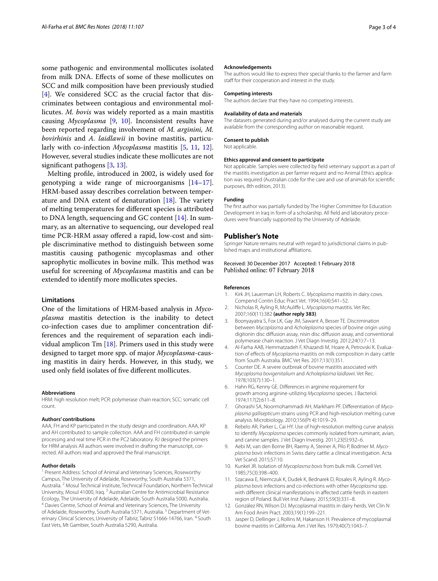some pathogenic and environmental mollicutes isolated from milk DNA. Efects of some of these mollicutes on SCC and milk composition have been previously studied [[4\]](#page-2-3). We considered SCC as the crucial factor that discriminates between contagious and environmental mollicutes. *M. bovis* was widely reported as a main mastitis causing *Mycoplasma* [\[9](#page-2-8), [10](#page-2-9)]. Inconsistent results have been reported regarding involvement of *M. arginini, M. bovirhinis* and *A. laidlawii* in bovine mastitis, particularly with co-infection *Mycoplasma* mastitis [[5](#page-2-4), [11](#page-2-10), [12](#page-2-11)]. However, several studies indicate these mollicutes are not signifcant pathogens [[3,](#page-2-2) [13](#page-2-12)].

Melting profle, introduced in 2002, is widely used for genotyping a wide range of microorganisms  $[14-17]$  $[14-17]$  $[14-17]$ . HRM-based assay describes correlation between temperature and DNA extent of denaturation  $[18]$ . The variety of melting temperatures for diferent species is attributed to DNA length, sequencing and GC content [[14\]](#page-3-0). In summary, as an alternative to sequencing, our developed real time PCR-HRM assay ofered a rapid, low-cost and simple discriminative method to distinguish between some mastitis causing pathogenic mycoplasmas and other saprophytic mollicutes in bovine milk. This method was useful for screening of *Mycoplasma* mastitis and can be extended to identify more mollicutes species.

## **Limitations**

One of the limitations of HRM-based analysis in *Mycoplasma* mastitis detection is the inability to detect co-infection cases due to amplimer concentration differences and the requirement of separation each individual amplicon  $Tm$  [\[18](#page-3-2)]. Primers used in this study were designed to target more spp. of major *Mycoplasma*-causing mastitis in dairy herds. However, in this study, we used only feld isolates of fve diferent mollicutes.

#### **Abbreviations**

HRM: high resolution melt; PCR: polymerase chain reaction; SCC: somatic cell count.

#### **Authors' contributions**

AAA, FH and KP participated in the study design and coordination. AAA, KP and AH contributed to sample collection. AAA and FH contributed in sample processing and real time PCR in the PC2 laboratory. RJ designed the primers for HRM analysis All authors were involved in drafting the manuscript, corrected. All authors read and approved the fnal manuscript.

#### **Author details**

Present Address: School of Animal and Veterinary Sciences, Roseworthy Campus, The University of Adelaide, Roseworthy, South Australia 5371, Australia. 2 Mosul Technical Institute, Technical Foundation, Northern Technical University, Mosul 41000, Iraq. <sup>3</sup> Australian Centre for Antimicrobial Resistance Ecology, The University of Adelaide, Adelaide, South Australia 5000, Australia. 4 Davies Centre, School of Animal and Veterinary Sciences, The University of Adelaide, Roseworthy, South Australia 5371, Australia.<sup>5</sup> Department of Veterinary Clinical Sciences, University of Tabriz, Tabriz 51666-14766, Iran. <sup>6</sup> South East Vets, Mt Gambier, South Australia 5290, Australia.

#### **Acknowledgements**

The authors would like to express their special thanks to the farmer and farm staff for their cooperation and interest in the study.

#### **Competing interests**

The authors declare that they have no competing interests.

#### **Availability of data and materials**

The datasets generated during and/or analysed during the current study are available from the corresponding author on reasonable request.

#### **Consent to publish**

Not applicable.

#### **Ethics approval and consent to participate**

Not applicable. Samples were collected by feld veterinary support as a part of the mastitis investigation as per farmer request and no Animal Ethics application was required (Australian code for the care and use of animals for scientifc purposes, 8th edition, 2013).

#### **Funding**

The frst author was partially funded by The Higher Committee for Education Development in Iraq in form of a scholarship. All field and laboratory procedures were fnancially supported by the University of Adelaide.

#### **Publisher's Note**

Springer Nature remains neutral with regard to jurisdictional claims in published maps and institutional afliations.

Received: 30 December 2017 Accepted: 1 February 2018 Published online: 07 February 2018

#### **References**

- <span id="page-2-0"></span>1. Kirk JH, Lauerman LH, Roberts C. *Mycoplasma* mastitis in dairy cows. Compend Contin Educ Pract Vet. 1994;16(4):541–52.
- <span id="page-2-1"></span>2. Nicholas R, Ayling R, McAulife L. *Mycoplasma* mastitis. Vet Rec. 2007;160(11):382 **(author reply 383)**.
- <span id="page-2-2"></span>3. Boonyayatra S, Fox LK, Gay JM, Sawant A, Besser TE. Discrimination between *Mycoplasma* and *Acholeplasma* species of bovine origin using digitonin disc difusion assay, nisin disc difusion assay, and conventional polymerase chain reaction. J Vet Diagn Investig. 2012;24(1):7–13.
- <span id="page-2-3"></span>4. Al-Farha AAB, Hemmatzadeh F, Khazandi M, Hoare A, Petrovski K, Evaluation of efects of *Mycoplasma* mastitis on milk composition in dairy cattle from South Australia. BMC Vet Res. 2017;13(1):351.
- <span id="page-2-4"></span>5. Counter DE. A severe outbreak of bovine mastitis associated with *Mycoplasma bovigenitalium* and *Acholeplasma laidlawii*. Vet Rec. 1978;103(7):130–1.
- <span id="page-2-5"></span>6. Hahn RG, Kenny GE. Diferences in arginine requirement for growth among arginine-utilizing *Mycoplasma* species. J Bacteriol. 1974;117(2):611–8.
- <span id="page-2-6"></span>7. Ghorashi SA, Noormohammadi AH, Markham PF. Diferentiation of *Mycoplasma gallisepticum* strains using PCR and high-resolution melting curve analysis. Microbiology. 2010;156(Pt 4):1019–29.
- <span id="page-2-7"></span>8. Rebelo AR, Parker L, Cai HY. Use of high-resolution melting curve analysis to identify *Mycoplasma* species commonly isolated from ruminant, avian, and canine samples. J Vet Diagn Investig. 2011;23(5):932–6.
- <span id="page-2-8"></span>9. Aebi M, van den Borne BH, Raemy A, Steiner A, Pilo P, Bodmer M. *Mycoplasma bovis* infections in Swiss dairy cattle: a clinical investigation. Acta Vet Scand. 2015;57:10.
- <span id="page-2-9"></span>10. Kunkel JR. Isolation of *Mycoplasma bovis* from bulk milk. Cornell Vet. 1985;75(3):398–400.
- <span id="page-2-10"></span>11. Szacawa E, Niemczuk K, Dudek K, Bednarek D, Rosales R, Ayling R. *Mycoplasma bovis* infections and co-infections with other *Mycoplasma* spp. with diferent clinical manifestations in afected cattle herds in eastern region of Poland. Bull Vet Inst Pulawy. 2015;59(3):331–8.
- <span id="page-2-11"></span>12. González RN, Wilson DJ. Mycoplasmal mastitis in dairy herds. Vet Clin N Am Food Anim Pract. 2003;19(1):199–221.
- <span id="page-2-12"></span>13. Jasper D, Dellinger J, Rollins M, Hakanson H. Prevalence of mycoplasmal bovine mastitis in California. Am J Vet Res. 1979;40(7):1043–7.